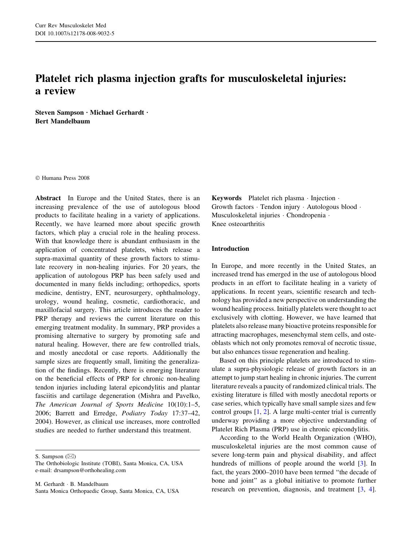# Platelet rich plasma injection grafts for musculoskeletal injuries: a review

Steven Sampson · Michael Gerhardt · Bert Mandelbaum

Humana Press 2008

Abstract In Europe and the United States, there is an increasing prevalence of the use of autologous blood products to facilitate healing in a variety of applications. Recently, we have learned more about specific growth factors, which play a crucial role in the healing process. With that knowledge there is abundant enthusiasm in the application of concentrated platelets, which release a supra-maximal quantity of these growth factors to stimulate recovery in non-healing injuries. For 20 years, the application of autologous PRP has been safely used and documented in many fields including; orthopedics, sports medicine, dentistry, ENT, neurosurgery, ophthalmology, urology, wound healing, cosmetic, cardiothoracic, and maxillofacial surgery. This article introduces the reader to PRP therapy and reviews the current literature on this emerging treatment modality. In summary, PRP provides a promising alternative to surgery by promoting safe and natural healing. However, there are few controlled trials, and mostly anecdotal or case reports. Additionally the sample sizes are frequently small, limiting the generalization of the findings. Recently, there is emerging literature on the beneficial effects of PRP for chronic non-healing tendon injuries including lateral epicondylitis and plantar fasciitis and cartilage degeneration (Mishra and Pavelko, The American Journal of Sports Medicine 10(10):1–5, 2006; Barrett and Erredge, Podiatry Today 17:37–42, 2004). However, as clinical use increases, more controlled studies are needed to further understand this treatment.

S. Sampson  $(\boxtimes)$ 

The Orthobiologic Institute (TOBI), Santa Monica, CA, USA e-mail: drsampson@orthohealing.com

M. Gerhardt · B. Mandelbaum Santa Monica Orthopaedic Group, Santa Monica, CA, USA **Keywords** Platelet rich plasma  $\cdot$  Injection  $\cdot$ Growth factors · Tendon injury · Autologous blood · Musculoskeletal injuries · Chondropenia · Knee osteoarthritis

## Introduction

In Europe, and more recently in the United States, an increased trend has emerged in the use of autologous blood products in an effort to facilitate healing in a variety of applications. In recent years, scientific research and technology has provided a new perspective on understanding the wound healing process. Initially platelets were thought to act exclusively with clotting. However, we have learned that platelets also release many bioactive proteins responsible for attracting macrophages, mesenchymal stem cells, and osteoblasts which not only promotes removal of necrotic tissue, but also enhances tissue regeneration and healing.

Based on this principle platelets are introduced to stimulate a supra-physiologic release of growth factors in an attempt to jump start healing in chronic injuries. The current literature reveals a paucity of randomized clinical trials. The existing literature is filled with mostly anecdotal reports or case series, which typically have small sample sizes and few control groups [[1,](#page-8-0) [2](#page-8-0)]. A large multi-center trial is currently underway providing a more objective understanding of Platelet Rich Plasma (PRP) use in chronic epicondylitis.

According to the World Health Organization (WHO), musculoskeletal injuries are the most common cause of severe long-term pain and physical disability, and affect hundreds of millions of people around the world [[3\]](#page-8-0). In fact, the years 2000–2010 have been termed ''the decade of bone and joint'' as a global initiative to promote further research on prevention, diagnosis, and treatment [[3,](#page-8-0) [4](#page-8-0)].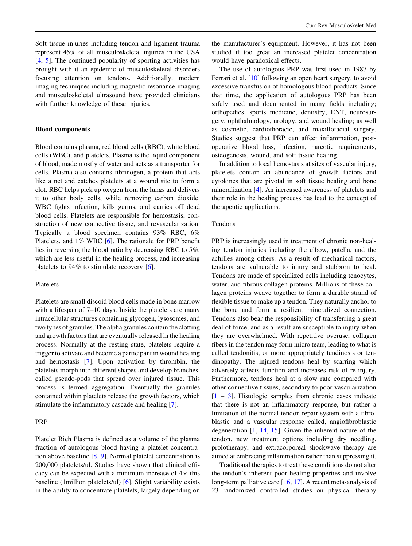Soft tissue injuries including tendon and ligament trauma represent 45% of all musculoskeletal injuries in the USA [\[4](#page-8-0), [5\]](#page-8-0). The continued popularity of sporting activities has brought with it an epidemic of musculoskeletal disorders focusing attention on tendons. Additionally, modern imaging techniques including magnetic resonance imaging and musculoskeletal ultrasound have provided clinicians with further knowledge of these injuries.

## Blood components

Blood contains plasma, red blood cells (RBC), white blood cells (WBC), and platelets. Plasma is the liquid component of blood, made mostly of water and acts as a transporter for cells. Plasma also contains fibrinogen, a protein that acts like a net and catches platelets at a wound site to form a clot. RBC helps pick up oxygen from the lungs and delivers it to other body cells, while removing carbon dioxide. WBC fights infection, kills germs, and carries off dead blood cells. Platelets are responsible for hemostasis, construction of new connective tissue, and revascularization. Typically a blood specimen contains 93% RBC, 6% Platelets, and 1% WBC [[6\]](#page-8-0). The rationale for PRP benefit lies in reversing the blood ratio by decreasing RBC to 5%, which are less useful in the healing process, and increasing platelets to 94% to stimulate recovery [[6](#page-8-0)].

# Platelets

Platelets are small discoid blood cells made in bone marrow with a lifespan of 7–10 days. Inside the platelets are many intracellular structures containing glycogen, lysosomes, and two types of granules. The alpha granules contain the clotting and growth factors that are eventually released in the healing process. Normally at the resting state, platelets require a trigger to activate and become a participant in wound healing and hemostasis [[7\]](#page-8-0). Upon activation by thrombin, the platelets morph into different shapes and develop branches, called pseudo-pods that spread over injured tissue. This process is termed aggregation. Eventually the granules contained within platelets release the growth factors, which stimulate the inflammatory cascade and healing [[7\]](#page-8-0).

# PRP

Platelet Rich Plasma is defined as a volume of the plasma fraction of autologous blood having a platelet concentration above baseline  $[8, 9]$  $[8, 9]$  $[8, 9]$ . Normal platelet concentration is 200,000 platelets/ul. Studies have shown that clinical efficacy can be expected with a minimum increase of  $4\times$  this baseline (1million platelets/ul) [\[6](#page-8-0)]. Slight variability exists in the ability to concentrate platelets, largely depending on

the manufacturer's equipment. However, it has not been studied if too great an increased platelet concentration would have paradoxical effects.

The use of autologous PRP was first used in 1987 by Ferrari et al. [\[10](#page-8-0)] following an open heart surgery, to avoid excessive transfusion of homologous blood products. Since that time, the application of autologous PRP has been safely used and documented in many fields including; orthopedics, sports medicine, dentistry, ENT, neurosurgery, ophthalmology, urology, and wound healing; as well as cosmetic, cardiothoracic, and maxillofacial surgery. Studies suggest that PRP can affect inflammation, postoperative blood loss, infection, narcotic requirements, osteogenesis, wound, and soft tissue healing.

In addition to local hemostasis at sites of vascular injury, platelets contain an abundance of growth factors and cytokines that are pivotal in soft tissue healing and bone mineralization [\[4](#page-8-0)]. An increased awareness of platelets and their role in the healing process has lead to the concept of therapeutic applications.

## Tendons

PRP is increasingly used in treatment of chronic non-healing tendon injuries including the elbow, patella, and the achilles among others. As a result of mechanical factors, tendons are vulnerable to injury and stubborn to heal. Tendons are made of specialized cells including tenocytes, water, and fibrous collagen proteins. Millions of these collagen proteins weave together to form a durable strand of flexible tissue to make up a tendon. They naturally anchor to the bone and form a resilient mineralized connection. Tendons also bear the responsibility of transferring a great deal of force, and as a result are susceptible to injury when they are overwhelmed. With repetitive overuse, collagen fibers in the tendon may form micro tears, leading to what is called tendonitis; or more appropriately tendinosis or tendinopathy. The injured tendons heal by scarring which adversely affects function and increases risk of re-injury. Furthermore, tendons heal at a slow rate compared with other connective tissues, secondary to poor vascularization [\[11–13](#page-8-0)]. Histologic samples from chronic cases indicate that there is not an inflammatory response, but rather a limitation of the normal tendon repair system with a fibroblastic and a vascular response called, angiofibroblastic degeneration [[1,](#page-8-0) [14,](#page-8-0) [15\]](#page-8-0). Given the inherent nature of the tendon, new treatment options including dry needling, prolotherapy, and extracorporeal shockwave therapy are aimed at embracing inflammation rather than suppressing it.

Traditional therapies to treat these conditions do not alter the tendon's inherent poor healing properties and involve long-term palliative care [[16,](#page-8-0) [17](#page-8-0)]. A recent meta-analysis of 23 randomized controlled studies on physical therapy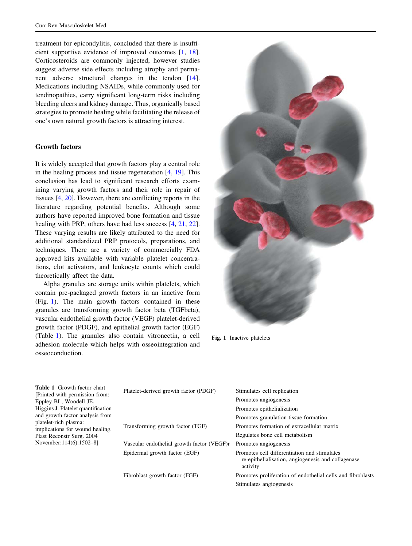treatment for epicondylitis, concluded that there is insufficient supportive evidence of improved outcomes [[1,](#page-8-0) [18](#page-8-0)]. Corticosteroids are commonly injected, however studies suggest adverse side effects including atrophy and permanent adverse structural changes in the tendon [\[14](#page-8-0)]. Medications including NSAIDs, while commonly used for tendinopathies, carry significant long-term risks including bleeding ulcers and kidney damage. Thus, organically based strategies to promote healing while facilitating the release of one's own natural growth factors is attracting interest.

## Growth factors

It is widely accepted that growth factors play a central role in the healing process and tissue regeneration [\[4](#page-8-0), [19\]](#page-8-0). This conclusion has lead to significant research efforts examining varying growth factors and their role in repair of tissues [[4](#page-8-0), [20\]](#page-8-0). However, there are conflicting reports in the literature regarding potential benefits. Although some authors have reported improved bone formation and tissue healing with PRP, others have had less success [[4,](#page-8-0) [21,](#page-8-0) [22](#page-8-0)]. These varying results are likely attributed to the need for additional standardized PRP protocols, preparations, and techniques. There are a variety of commercially FDA approved kits available with variable platelet concentrations, clot activators, and leukocyte counts which could theoretically affect the data.

Alpha granules are storage units within platelets, which contain pre-packaged growth factors in an inactive form (Fig. 1). The main growth factors contained in these granules are transforming growth factor beta (TGFbeta), vascular endothelial growth factor (VEGF) platelet-derived growth factor (PDGF), and epithelial growth factor (EGF) (Table 1). The granules also contain vitronectin, a cell adhesion molecule which helps with osseointegration and osseoconduction.



Fig. 1 Inactive platelets

Table 1 Growth factor chart [Printed with permission from: Eppley BL, Woodell JE, Higgins J. Platelet quantification and growth factor analysis from platelet-rich plasma: implications for wound healing. Plast Reconstr Surg. 2004 November;114(6):1502–8]

| Platelet-derived growth factor (PDGF)      | Stimulates cell replication                                                                                    |
|--------------------------------------------|----------------------------------------------------------------------------------------------------------------|
|                                            | Promotes angiogenesis                                                                                          |
|                                            | Promotes epithelialization                                                                                     |
|                                            | Promotes granulation tissue formation                                                                          |
| Transforming growth factor (TGF)           | Promotes formation of extracellular matrix                                                                     |
|                                            | Regulates bone cell metabolism                                                                                 |
| Vascular endothelial growth factor (VEGF)r | Promotes angiogenesis                                                                                          |
| Epidermal growth factor (EGF)              | Promotes cell differentiation and stimulates<br>re-epithelialisation, angiogenesis and collagenase<br>activity |
| Fibroblast growth factor (FGF)             | Promotes proliferation of endothelial cells and fibroblasts                                                    |
|                                            | Stimulates angiogenesis                                                                                        |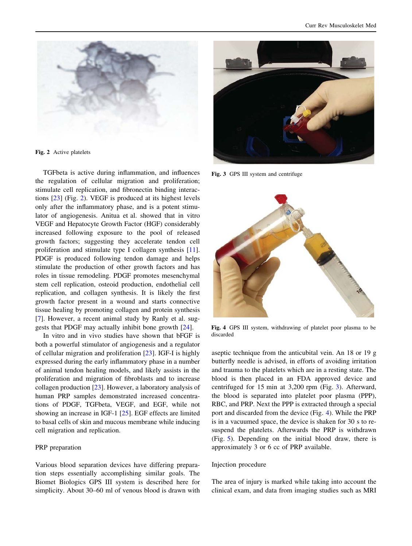

Fig. 2 Active platelets

TGFbeta is active during inflammation, and influences the regulation of cellular migration and proliferation; stimulate cell replication, and fibronectin binding interactions [\[23](#page-8-0)] (Fig. 2). VEGF is produced at its highest levels only after the inflammatory phase, and is a potent stimulator of angiogenesis. Anitua et al. showed that in vitro VEGF and Hepatocyte Growth Factor (HGF) considerably increased following exposure to the pool of released growth factors; suggesting they accelerate tendon cell proliferation and stimulate type I collagen synthesis [\[11](#page-8-0)]. PDGF is produced following tendon damage and helps stimulate the production of other growth factors and has roles in tissue remodeling. PDGF promotes mesenchymal stem cell replication, osteoid production, endothelial cell replication, and collagen synthesis. It is likely the first growth factor present in a wound and starts connective tissue healing by promoting collagen and protein synthesis [\[7](#page-8-0)]. However, a recent animal study by Ranly et al. suggests that PDGF may actually inhibit bone growth [\[24](#page-8-0)].

In vitro and in vivo studies have shown that bFGF is both a powerful stimulator of angiogenesis and a regulator of cellular migration and proliferation [\[23](#page-8-0)]. IGF-I is highly expressed during the early inflammatory phase in a number of animal tendon healing models, and likely assists in the proliferation and migration of fibroblasts and to increase collagen production [\[23](#page-8-0)]. However, a laboratory analysis of human PRP samples demonstrated increased concentrations of PDGF, TGFbeta, VEGF, and EGF, while not showing an increase in IGF-1 [\[25](#page-8-0)]. EGF effects are limited to basal cells of skin and mucous membrane while inducing cell migration and replication.

## PRP preparation

Various blood separation devices have differing preparation steps essentially accomplishing similar goals. The Biomet Biologics GPS III system is described here for simplicity. About 30–60 ml of venous blood is drawn with



Fig. 3 GPS III system and centrifuge



Fig. 4 GPS III system, withdrawing of platelet poor plasma to be discarded

aseptic technique from the anticubital vein. An 18 or 19 g butterfly needle is advised, in efforts of avoiding irritation and trauma to the platelets which are in a resting state. The blood is then placed in an FDA approved device and centrifuged for 15 min at 3,200 rpm (Fig. 3). Afterward, the blood is separated into platelet poor plasma (PPP), RBC, and PRP. Next the PPP is extracted through a special port and discarded from the device (Fig. 4). While the PRP is in a vacuumed space, the device is shaken for 30 s to resuspend the platelets. Afterwards the PRP is withdrawn (Fig. [5\)](#page-4-0). Depending on the initial blood draw, there is approximately 3 or 6 cc of PRP available.

## Injection procedure

The area of injury is marked while taking into account the clinical exam, and data from imaging studies such as MRI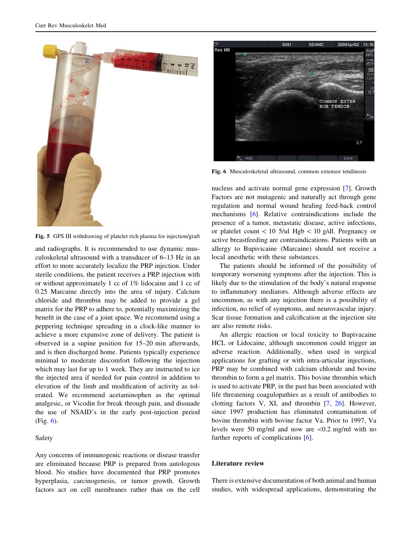<span id="page-4-0"></span>

Fig. 5 GPS III withdrawing of platelet rich plasma for injection/graft

and radiographs. It is recommended to use dynamic musculoskeletal ultrasound with a transducer of 6–13 Hz in an effort to more accurately localize the PRP injection. Under sterile conditions, the patient receives a PRP injection with or without approximately 1 cc of 1% lidocaine and 1 cc of 0.25 Marcaine directly into the area of injury. Calcium chloride and thrombin may be added to provide a gel matrix for the PRP to adhere to, potentially maximizing the benefit in the case of a joint space. We recommend using a peppering technique spreading in a clock-like manner to achieve a more expansive zone of delivery. The patient is observed in a supine position for 15–20 min afterwards, and is then discharged home. Patients typically experience minimal to moderate discomfort following the injection which may last for up to 1 week. They are instructed to ice the injected area if needed for pain control in addition to elevation of the limb and modification of activity as tolerated. We recommend acetaminophen as the optimal analgesic, or Vicodin for break through pain, and dissuade the use of NSAID's in the early post-injection period (Fig. 6).

#### Safety

Any concerns of immunogenic reactions or disease transfer are eliminated because PRP is prepared from autologous blood. No studies have documented that PRP promotes hyperplasia, carcinogenesis, or tumor growth. Growth factors act on cell membranes rather than on the cell



Fig. 6 Musculoskeletal ultrasound, common extensor tendinosis

nucleus and activate normal gene expression [\[7](#page-8-0)]. Growth Factors are not mutagenic and naturally act through gene regulation and normal wound healing feed-back control mechanisms [[6\]](#page-8-0). Relative contraindications include the presence of a tumor, metastatic disease, active infections, or platelet count  $\langle 10 \frac{5}{ul} Hgb \langle 10 \frac{g}{dl} \rangle$ . Pregnancy or active breastfeeding are contraindications. Patients with an allergy to Bupivicaine (Marcaine) should not receive a local anesthetic with these substances.

The patients should be informed of the possibility of temporary worsening symptoms after the injection. This is likely due to the stimulation of the body's natural response to inflammatory mediators. Although adverse effects are uncommon, as with any injection there is a possibility of infection, no relief of symptoms, and neurovascular injury. Scar tissue formation and calcification at the injection site are also remote risks.

An allergic reaction or local toxicity to Bupivacaine HCL or Lidocaine, although uncommon could trigger an adverse reaction. Additionally, when used in surgical applications for grafting or with intra-articular injections, PRP may be combined with calcium chloride and bovine thrombin to form a gel matrix. This bovine thrombin which is used to activate PRP, in the past has been associated with life threatening coagulopathies as a result of antibodies to clotting factors V, XI, and thrombin [[7,](#page-8-0) [26](#page-8-0)]. However, since 1997 production has eliminated contamination of bovine thrombin with bovine factor Va. Prior to 1997, Va levels were 50 mg/ml and now are  $\langle 0.2 \text{ mg/ml} \rangle$  with no further reports of complications [\[6](#page-8-0)].

### Literature review

There is extensive documentation of both animal and human studies, with widespread applications, demonstrating the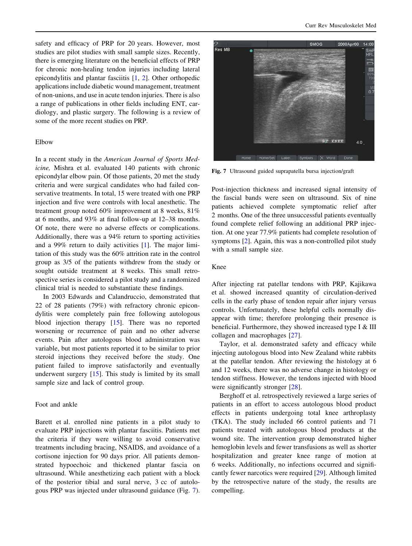safety and efficacy of PRP for 20 years. However, most studies are pilot studies with small sample sizes. Recently, there is emerging literature on the beneficial effects of PRP for chronic non-healing tendon injuries including lateral epicondylitis and plantar fasciitis [\[1](#page-8-0), [2](#page-8-0)]. Other orthopedic applications include diabetic wound management, treatment of non-unions, and use in acute tendon injuries. There is also a range of publications in other fields including ENT, cardiology, and plastic surgery. The following is a review of some of the more recent studies on PRP.

#### Elbow

In a recent study in the American Journal of Sports Medicine, Mishra et al. evaluated 140 patients with chronic epicondylar elbow pain. Of those patients, 20 met the study criteria and were surgical candidates who had failed conservative treatments. In total, 15 were treated with one PRP injection and five were controls with local anesthetic. The treatment group noted 60% improvement at 8 weeks, 81% at 6 months, and 93% at final follow-up at 12–38 months. Of note, there were no adverse effects or complications. Additionally, there was a 94% return to sporting activities and a 99% return to daily activities [[1\]](#page-8-0). The major limitation of this study was the 60% attrition rate in the control group as 3/5 of the patients withdrew from the study or sought outside treatment at 8 weeks. This small retrospective series is considered a pilot study and a randomized clinical trial is needed to substantiate these findings.

In 2003 Edwards and Calandruccio, demonstrated that 22 of 28 patients (79%) with refractory chronic epicondylitis were completely pain free following autologous blood injection therapy [\[15](#page-8-0)]. There was no reported worsening or recurrence of pain and no other adverse events. Pain after autologous blood administration was variable, but most patients reported it to be similar to prior steroid injections they received before the study. One patient failed to improve satisfactorily and eventually underwent surgery [\[15](#page-8-0)]. This study is limited by its small sample size and lack of control group.

## Foot and ankle

Barett et al. enrolled nine patients in a pilot study to evaluate PRP injections with plantar fasciitis. Patients met the criteria if they were willing to avoid conservative treatments including bracing, NSAIDS, and avoidance of a cortisone injection for 90 days prior. All patients demonstrated hypoechoic and thickened plantar fascia on ultrasound. While anesthetizing each patient with a block of the posterior tibial and sural nerve, 3 cc of autologous PRP was injected under ultrasound guidance (Fig. 7).



Fig. 7 Ultrasound guided suprapatella bursa injection/graft

Post-injection thickness and increased signal intensity of the fascial bands were seen on ultrasound. Six of nine patients achieved complete symptomatic relief after 2 months. One of the three unsuccessful patients eventually found complete relief following an additional PRP injection. At one year 77.9% patients had complete resolution of symptoms [\[2](#page-8-0)]. Again, this was a non-controlled pilot study with a small sample size.

## Knee

After injecting rat patellar tendons with PRP, Kajikawa et al. showed increased quantity of circulation-derived cells in the early phase of tendon repair after injury versus controls. Unfortunately, these helpful cells normally disappear with time; therefore prolonging their presence is beneficial. Furthermore, they showed increased type I & III collagen and macrophages [[27\]](#page-8-0).

Taylor, et al. demonstrated safety and efficacy while injecting autologous blood into New Zealand white rabbits at the patellar tendon. After reviewing the histology at 6 and 12 weeks, there was no adverse change in histology or tendon stiffness. However, the tendons injected with blood were significantly stronger [\[28](#page-8-0)].

Berghoff et al. retrospectively reviewed a large series of patients in an effort to access autologous blood product effects in patients undergoing total knee arthroplasty (TKA). The study included 66 control patients and 71 patients treated with autologous blood products at the wound site. The intervention group demonstrated higher hemoglobin levels and fewer transfusions as well as shorter hospitalization and greater knee range of motion at 6 weeks. Additionally, no infections occurred and significantly fewer narcotics were required [[29](#page-8-0)]. Although limited by the retrospective nature of the study, the results are compelling.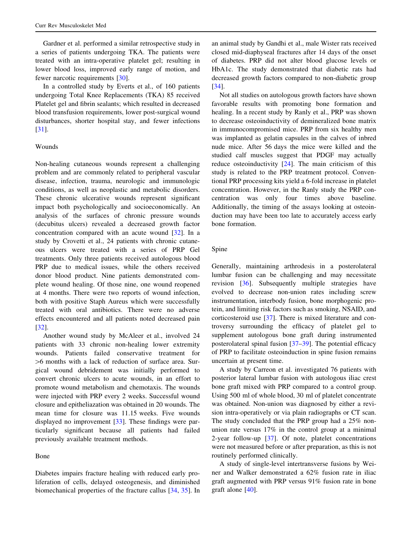Gardner et al. performed a similar retrospective study in a series of patients undergoing TKA. The patients were treated with an intra-operative platelet gel; resulting in lower blood loss, improved early range of motion, and fewer narcotic requirements [[30\]](#page-8-0).

In a controlled study by Everts et al., of 160 patients undergoing Total Knee Replacements (TKA) 85 received Platelet gel and fibrin sealants; which resulted in decreased blood transfusion requirements, lower post-surgical wound disturbances, shorter hospital stay, and fewer infections [\[31](#page-8-0)].

## Wounds

Non-healing cutaneous wounds represent a challenging problem and are commonly related to peripheral vascular disease, infection, trauma, neurologic and immunologic conditions, as well as neoplastic and metabolic disorders. These chronic ulcerative wounds represent significant impact both psychologically and socioeconomically. An analysis of the surfaces of chronic pressure wounds (decubitus ulcers) revealed a decreased growth factor concentration compared with an acute wound [\[32](#page-8-0)]. In a study by Crovetti et al., 24 patients with chronic cutaneous ulcers were treated with a series of PRP Gel treatments. Only three patients received autologous blood PRP due to medical issues, while the others received donor blood product. Nine patients demonstrated complete wound healing. Of those nine, one wound reopened at 4 months. There were two reports of wound infection, both with positive Staph Aureus which were successfully treated with oral antibiotics. There were no adverse effects encountered and all patients noted decreased pain [\[32](#page-8-0)].

Another wound study by McAleer et al., involved 24 patients with 33 chronic non-healing lower extremity wounds. Patients failed conservative treatment for  $>6$  months with a lack of reduction of surface area. Surgical wound debridement was initially performed to convert chronic ulcers to acute wounds, in an effort to promote wound metabolism and chemotaxis. The wounds were injected with PRP every 2 weeks. Successful wound closure and epitheliazation was obtained in 20 wounds. The mean time for closure was 11.15 weeks. Five wounds displayed no improvement [\[33](#page-8-0)]. These findings were particularly significant because all patients had failed previously available treatment methods.

#### Bone

Diabetes impairs fracture healing with reduced early proliferation of cells, delayed osteogenesis, and diminished biomechanical properties of the fracture callus [\[34](#page-8-0), [35\]](#page-8-0). In an animal study by Gandhi et al., male Wister rats received closed mid-diaphyseal fractures after 14 days of the onset of diabetes. PRP did not alter blood glucose levels or HbA1c. The study demonstrated that diabetic rats had decreased growth factors compared to non-diabetic group [\[34](#page-8-0)].

Not all studies on autologous growth factors have shown favorable results with promoting bone formation and healing. In a recent study by Ranly et al., PRP was shown to decrease osteoinductivity of demineralized bone matrix in immunocompromised mice. PRP from six healthy men was implanted as gelatin capsules in the calves of inbred nude mice. After 56 days the mice were killed and the studied calf muscles suggest that PDGF may actually reduce osteoinductivity [[24](#page-8-0)]. The main criticism of this study is related to the PRP treatment protocol. Conventional PRP processing kits yield a 6-fold increase in platelet concentration. However, in the Ranly study the PRP concentration was only four times above baseline. Additionally, the timing of the assays looking at osteoinduction may have been too late to accurately access early bone formation.

## Spine

Generally, maintaining arthrodesis in a posterolateral lumbar fusion can be challenging and may necessitate revision [\[36](#page-8-0)]. Subsequently multiple strategies have evolved to decrease non-union rates including screw instrumentation, interbody fusion, bone morphogenic protein, and limiting risk factors such as smoking, NSAID, and corticosteroid use [[37\]](#page-8-0). There is mixed literature and controversy surrounding the efficacy of platelet gel to supplement autologous bone graft during instrumented posterolateral spinal fusion [[37–39\]](#page-8-0). The potential efficacy of PRP to facilitate osteoinduction in spine fusion remains uncertain at present time.

A study by Carreon et al. investigated 76 patients with posterior lateral lumbar fusion with autologous iliac crest bone graft mixed with PRP compared to a control group. Using 500 ml of whole blood, 30 ml of platelet concentrate was obtained. Non-union was diagnosed by either a revision intra-operatively or via plain radiographs or CT scan. The study concluded that the PRP group had a 25% nonunion rate versus 17% in the control group at a minimal 2-year follow-up [\[37](#page-8-0)]. Of note, platelet concentrations were not measured before or after preparation, as this is not routinely performed clinically.

A study of single-level intertransverse fusions by Weiner and Walker demonstrated a 62% fusion rate in iliac graft augmented with PRP versus 91% fusion rate in bone graft alone [[40\]](#page-8-0).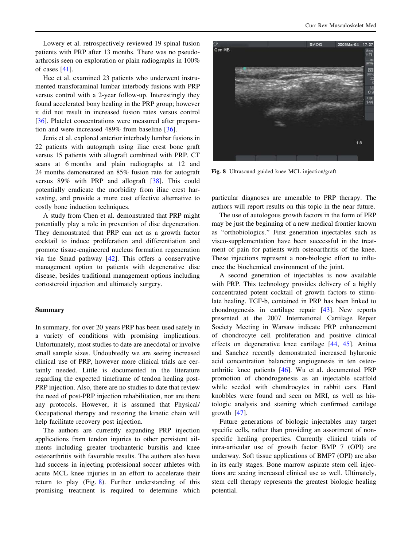Lowery et al. retrospectively reviewed 19 spinal fusion patients with PRP after 13 months. There was no pseudoarthrosis seen on exploration or plain radiographs in 100% of cases [\[41](#page-8-0)].

Hee et al. examined 23 patients who underwent instrumented transforaminal lumbar interbody fusions with PRP versus control with a 2-year follow-up. Interestingly they found accelerated bony healing in the PRP group; however it did not result in increased fusion rates versus control [\[36](#page-8-0)]. Platelet concentrations were measured after preparation and were increased 489% from baseline [[36\]](#page-8-0).

Jenis et al. explored anterior interbody lumbar fusions in 22 patients with autograph using iliac crest bone graft versus 15 patients with allograft combined with PRP. CT scans at 6 months and plain radiographs at 12 and 24 months demonstrated an 85% fusion rate for autograft versus 89% with PRP and allograft [\[38](#page-8-0)]. This could potentially eradicate the morbidity from iliac crest harvesting, and provide a more cost effective alternative to costly bone induction techniques.

A study from Chen et al. demonstrated that PRP might potentially play a role in prevention of disc degeneration. They demonstrated that PRP can act as a growth factor cocktail to induce proliferation and differentiation and promote tissue-engineered nucleus formation regeneration via the Smad pathway [\[42](#page-8-0)]. This offers a conservative management option to patients with degenerative disc disease, besides traditional management options including cortosteroid injection and ultimately surgery.

# Summary

In summary, for over 20 years PRP has been used safely in a variety of conditions with promising implications. Unfortunately, most studies to date are anecdotal or involve small sample sizes. Undoubtedly we are seeing increased clinical use of PRP, however more clinical trials are certainly needed. Little is documented in the literature regarding the expected timeframe of tendon healing post-PRP injection. Also, there are no studies to date that review the need of post-PRP injection rehabilitation, nor are there any protocols. However, it is assumed that Physical/ Occupational therapy and restoring the kinetic chain will help facilitate recovery post injection.

The authors are currently expanding PRP injection applications from tendon injuries to other persistent ailments including greater trochanteric bursitis and knee osteoarthritis with favorable results. The authors also have had success in injecting professional soccer athletes with acute MCL knee injuries in an effort to accelerate their return to play (Fig. 8). Further understanding of this promising treatment is required to determine which



Fig. 8 Ultrasound guided knee MCL injection/graft

particular diagnoses are amenable to PRP therapy. The authors will report results on this topic in the near future.

The use of autologous growth factors in the form of PRP may be just the beginning of a new medical frontier known as ''orthobiologics.'' First generation injectables such as visco-supplementation have been successful in the treatment of pain for patients with osteoarthritis of the knee. These injections represent a non-biologic effort to influence the biochemical environment of the joint.

A second generation of injectables is now available with PRP. This technology provides delivery of a highly concentrated potent cocktail of growth factors to stimulate healing. TGF-b, contained in PRP has been linked to chondrogenesis in cartilage repair [\[43](#page-8-0)]. New reports presented at the 2007 International Cartilage Repair Society Meeting in Warsaw indicate PRP enhancement of chondrocyte cell proliferation and positive clinical effects on degenerative knee cartilage [[44,](#page-9-0) [45\]](#page-9-0). Anitua and Sanchez recently demonstrated increased hyluronic acid concentration balancing angiogenesis in ten osteoarthritic knee patients [[46\]](#page-9-0). Wu et al. documented PRP promotion of chondrogenesis as an injectable scaffold while seeded with chondrocytes in rabbit ears. Hard knobbles were found and seen on MRI, as well as histologic analysis and staining which confirmed cartilage growth [\[47](#page-9-0)].

Future generations of biologic injectables may target specific cells, rather than providing an assortment of nonspecific healing properties. Currently clinical trials of intra-articular use of growth factor BMP 7 (OPI) are underway. Soft tissue applications of BMP7 (OPI) are also in its early stages. Bone marrow aspirate stem cell injections are seeing increased clinical use as well. Ultimately, stem cell therapy represents the greatest biologic healing potential.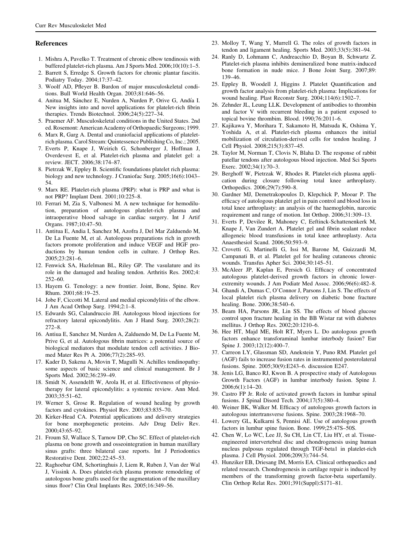#### <span id="page-8-0"></span>References

- 1. Mishra A, Pavelko T. Treatment of chronic elbow tendinosis with buffered platelet-rich plasma. Am J Sports Med. 2006;10(10):1–5.
- 2. Barrett S, Erredge S. Growth factors for chronic plantar fascitis. Podiatry Today. 2004;17:37–42.
- 3. Woolf AD, Pfleyer B. Burdon of major musculoskeletal conditions. Bull World Health Organ. 2003;81:646–56.
- 4. Anitua M, Sánchez E, Nurden A, Nurden P, Orive G, Andía I. New insights into and novel applications for platelet-rich fibrin therapies. Trends Biotechnol. 2006;24(5):227–34.
- 5. Praemer AF. Musculoskeletal conditions in the United States. 2nd ed. Rosemont: American Academy of Orthopaedic Surgeons; 1999.
- 6. Marx R, Garg A. Dental and craniofacial applications of plateletrich plasma. Carol Stream: Quintessence Publishing Co, Inc.; 2005.
- 7. Everts P, Knape J, Weirich G, Schonberger J, Hoffman J, Overdevest E, et al. Platelet-rich plasma and platelet gel: a review. JECT. 2006;38:174–87.
- 8. Pietrzak W, Eppley B. Scientific foundations platelet rich plasma: biology and new technology. J Craniofac Surg. 2005;16(6):1043– 54.
- 9. Marx RE. Platelet-rich plasma (PRP): what is PRP and what is not PRP? Implant Dent. 2001;10:225–8.
- 10. Ferrari M, Zia S, Valbonesi M. A new technique for hemodilution, preparation of autologous platelet-rich plasma and intraoperative blood salvage in cardiac surgery. Int J Artif Organs. 1987;10:47–50.
- 11. Antitua E, Andia I, Sanchez M, Azofra J, Del Mar Zalduendo M, De La Fuente M, et al. Autologous preparations rich in growth factors promote proliferation and induce VEGF and HGF productions by human tendon cells in culture. J Orthop Res. 2005;23:281–6.
- 12. Fenwick SA, Hazlelman BL, Riley GP. The vasulature and its role in the damaged and healing tendon. Arthritis Res. 2002;4: 252–60.
- 13. Hayem G. Tenology: a new frontier. Joint, Bone, Spine. Rev Rhum. 2001;68:19–25.
- 14. Jobe F, Ciccotti M. Lateral and medial epicondylitis of the elbow. J Am Acad Orthop Surg. 1994;2:1–8.
- 15. Edwards SG, Calandruccio JH. Autologous blood injections for refractory lateral epicondylitis. Am J Hand Surg. 2003;28(2): 272–8.
- 16. Antiua E, Sanchez M, Nurden A, Zalduendo M, De La Fuente M, Prive G, et al. Autologous fibrin matrices: a potential source of biological mediators that modulate tendon cell activities. J Biomed Mater Res Pt A. 2006;77(2):285–93.
- 17. Kader D, Sakena A, Movin T, Magulli N. Achilles tendinopathy: some aspects of basic science and clinical management. Br J Sports Med. 2002;36:239–49.
- 18. Smidt N, Assendelft W, Arola H, et al. Effectiveness of physiotherapy for lateral epicondylitis: a systemic review. Ann Med. 2003;35:51–62.
- 19. Werner S, Grose R. Regulation of wound healing by growth factors and cytokines. Physiol Rev. 2003;83:835–70.
- 20. Kirker-Head CA. Potential applications and delivery strategies for bone morphogenetic proteins. Adv Drug Deliv Rev. 2000;43:65–92.
- 21. Froum SJ, Wallace S, Tarnow DP, Cho SC. Effect of platelet-rich plasma on bone growth and osseointegration in human maxillary sinus grafts: three bilateral case reports. Int J Periodontics Restorative Dent. 2002;22:45–53.
- 22. Raghoebar GM, Schortinghuis J, Liem R, Ruben J, Van der Wal J, Vissink A. Does platelet-rich plasma promote remodeling of autologous bone grafts used for the augmentation of the maxillary sinus floor? Clin Oral Implants Res. 2005;16:349–56.
- 23. Molloy T, Wang Y, Murrell G. The roles of growth factors in tendon and ligament healing. Sports Med. 2003;33(5):381–94.
- 24. Ranly D, Lohmann C, Andreacchio D, Boyan B, Schwartz Z. Platelet-rich plasma inhibits demineralized bone matrix-induced bone formation in nude mice. J Bone Joint Surg. 2007;89: 139–46.
- 25. Eppley B, Woodell J, Higgins J. Platelet Quantification and growth factor analysis from platelet-rich plasma: Implications for wound healing. Plast Reconstr Surg. 2004;114(6):1502–7.
- 26. Zehnder JL, Leung LLK. Development of antibodies to thrombin and factor V with recurrent bleeding in a patient exposed to topical bovine thrombim. Blood. 1990;76:2011–6.
- 27. Kajikawa Y, Morihara T, Sakamoto H, Matsuda K, Oshima Y, Yoshida A, et al. Platelet-rich plasma enhances the initial mobilization of circulation-derived cells for tendon healing. J Cell Physiol. 2008;215(3):837–45.
- 28. Taylor M, Norman T, Clovis N, Blaha D. The response of rabbit patellar tendons after autologous blood injection. Med Sci Sports Exerc. 2002;34(1):70–3.
- 29. Berghoff W, Pietrzak W, Rhodes R. Platelet-rich plasma application during closure following total knee arthroplasty. Orthopedics. 2006;29(7):590–8.
- 30. Gardner MJ, Demetrakopoulos D, Klepchick P, Mooar P. The efficacy of autologous platelet gel in pain control and blood loss in total knee arthroplasty: an analysis of the haemoglobin, narcotic requirement and range of motion. Int Orthop. 2006;31:309–13.
- 31. Everts P, Devilee R, Mahoney C, Eeftinck-Schattenenkerk M, Knape J, Van Zundert A. Platelet gel and fibrin sealant reduce allogeneic blood transfusions in total knee arthroplasty. Acta Anaesthesiol Scand. 2006;50:593–9.
- 32. Crovetti G, Martinelli G, Issi M, Barone M, Guizzardi M, Campanati B, et al. Platelet gel for healing cutaneous chronic wounds. Transfus Apher Sci. 2004;30:145–51.
- 33. McAleer JP, Kaplan E, Persich G. Efficacy of concentrated autologous platelet-derived growth factors in chronic lowerextremity wounds. J Am Podiatr Med Assoc. 2006;96(6):482–8.
- 34. Ghandi A, Dumas C, O'Connor J, Parsons J, Lin S. The effects of local platelet rich plasma delivery on diabetic bone fracture healing. Bone. 2006;38:540–6.
- 35. Beam HA, Parsons JR, Lin SS. The effects of blood glucose control upon fracture healing in the BB Wistar rat with diabetes mellitus. J Orthop Res. 2002;20:1210–6.
- 36. Hee HT, Majd ME, Holt RT, Myers L. Do autologous growth factors enhance transforaminal lumbar interbody fusion? Eur Spine J. 2003;12(12):400–7.
- 37. Carreon LY, Glassman SD, Anekstein Y, Puno RM. Platelet gel (AGF) fails to increase fusion rates in instrumented posterolateral fusions. Spine. 2005;30(9):E243–6. discussion E247.
- 38. Jenis LG, Banco RJ, Kwon B. A prospective study of Autologous Growth Factors (AGF) in lumbar interbody fusion. Spine J. 2006;6(1):14–20.
- 39. Castro FP Jr. Role of activated growth factors in lumbar spinal fusions. J Spinal Disord Tech. 2004;17(5):380–4.
- 40. Weiner BK, Walker M. Efficacy of autologous growth factors in autologous intertransverse fusions. Spine. 2003;28:1968–70.
- 41. Lowery GL, Kulkarni S, Pennisi AE. Use of autologous growth factors in lumbar spine fusion. Bone. 1999;25:47S–50S.
- 42. Chen W, Lo WC, Lee JJ, Su CH, Lin CT, Liu HY, et al. Tissueengineered intervertebral disc and chondrogenesis using human nucleus pulposus regulated through TGF-beta1 in platelet-rich plasma. J Cell Physiol. 2006;209(3):744–54.
- 43. Hunziker EB, Driesang IM, Morris EA. Clinical orthopaedics and related research. Chondrogenesis in cartilage repair is induced by members of the transforming growth factor-beta superfamily. Clin Orthop Relat Res. 2001;391(Suppl):S171–81.